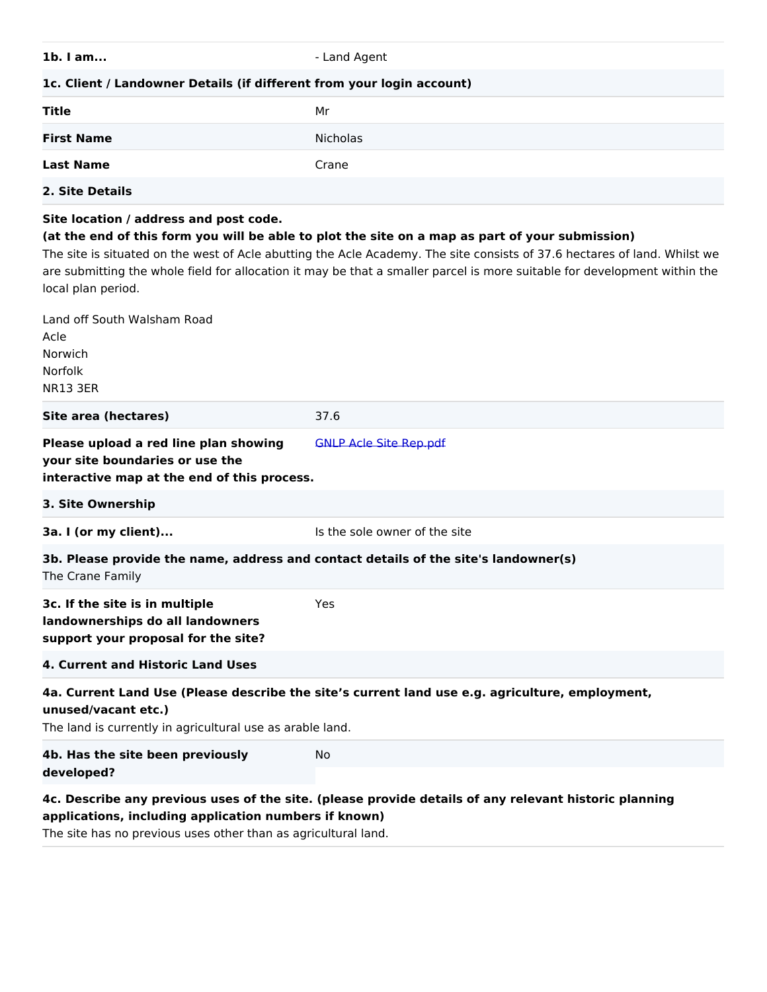**- Land Agent** 

## **1c. Client / Landowner Details (if different from your login account)**

| <b>Title</b>      | Mr       |
|-------------------|----------|
| <b>First Name</b> | Nicholas |
| <b>Last Name</b>  | Crane    |
| 2. Site Details   |          |

#### **Site location / address and post code.**

### **(at the end of this form you will be able to plot the site on a map as part of your submission)**

The site is situated on the west of Acle abutting the Acle Academy. The site consists of 37.6 hectares of land. Whilst we are submitting the whole field for allocation it may be that a smaller parcel is more suitable for development within the local plan period.

| Land off South Walsham Road                                                                                             |                                                                                                       |  |
|-------------------------------------------------------------------------------------------------------------------------|-------------------------------------------------------------------------------------------------------|--|
| Acle<br>Norwich                                                                                                         |                                                                                                       |  |
| Norfolk                                                                                                                 |                                                                                                       |  |
| <b>NR13 3ER</b>                                                                                                         |                                                                                                       |  |
| Site area (hectares)                                                                                                    | 37.6                                                                                                  |  |
| Please upload a red line plan showing<br>your site boundaries or use the<br>interactive map at the end of this process. | <b>GNLP Acle Site Rep.pdf</b>                                                                         |  |
| 3. Site Ownership                                                                                                       |                                                                                                       |  |
| 3a. I (or my client)                                                                                                    | Is the sole owner of the site                                                                         |  |
| 3b. Please provide the name, address and contact details of the site's landowner(s)<br>The Crane Family                 |                                                                                                       |  |
| 3c. If the site is in multiple<br>landownerships do all landowners<br>support your proposal for the site?               | Yes                                                                                                   |  |
| 4. Current and Historic Land Uses                                                                                       |                                                                                                       |  |
| 4a. Current Land Use (Please describe the site's current land use e.g. agriculture, employment,<br>unused/vacant etc.)  |                                                                                                       |  |
| The land is currently in agricultural use as arable land.                                                               |                                                                                                       |  |
| 4b. Has the site been previously<br>developed?                                                                          | No.                                                                                                   |  |
|                                                                                                                         | 4c. Describe any previous uses of the site. (please provide details of any relevant historic planning |  |

**applications, including application numbers if known)** The site has no previous uses other than as agricultural land.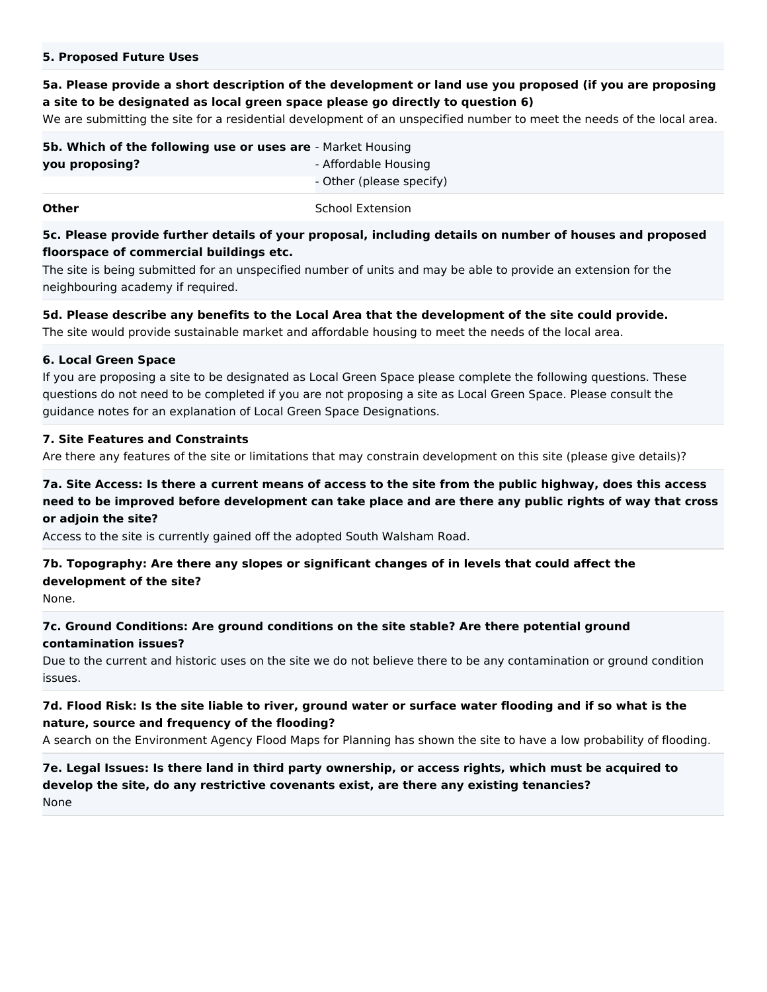#### **5. Proposed Future Uses**

## **5a. Please provide a short description of the development or land use you proposed (if you are proposing a site to be designated as local green space please go directly to question 6)**

We are submitting the site for a residential development of an unspecified number to meet the needs of the local area.

| 5b. Which of the following use or uses are - Market Housing |                          |
|-------------------------------------------------------------|--------------------------|
| you proposing?                                              | - Affordable Housing     |
|                                                             | - Other (please specify) |
|                                                             |                          |

**Other** School Extension

## **5c. Please provide further details of your proposal, including details on number of houses and proposed floorspace of commercial buildings etc.**

The site is being submitted for an unspecified number of units and may be able to provide an extension for the neighbouring academy if required.

#### **5d. Please describe any benefits to the Local Area that the development of the site could provide.**

The site would provide sustainable market and affordable housing to meet the needs of the local area.

#### **6. Local Green Space**

If you are proposing a site to be designated as Local Green Space please complete the following questions. These questions do not need to be completed if you are not proposing a site as Local Green Space. Please consult the guidance notes for an explanation of Local Green Space Designations.

#### **7. Site Features and Constraints**

Are there any features of the site or limitations that may constrain development on this site (please give details)?

# **7a. Site Access: Is there a current means of access to the site from the public highway, does this access need to be improved before development can take place and are there any public rights of way that cross or adjoin the site?**

Access to the site is currently gained off the adopted South Walsham Road.

# **7b. Topography: Are there any slopes or significant changes of in levels that could affect the development of the site?**

None.

## **7c. Ground Conditions: Are ground conditions on the site stable? Are there potential ground contamination issues?**

Due to the current and historic uses on the site we do not believe there to be any contamination or ground condition issues.

### **7d. Flood Risk: Is the site liable to river, ground water or surface water flooding and if so what is the nature, source and frequency of the flooding?**

A search on the Environment Agency Flood Maps for Planning has shown the site to have a low probability of flooding.

## **7e. Legal Issues: Is there land in third party ownership, or access rights, which must be acquired to develop the site, do any restrictive covenants exist, are there any existing tenancies?** None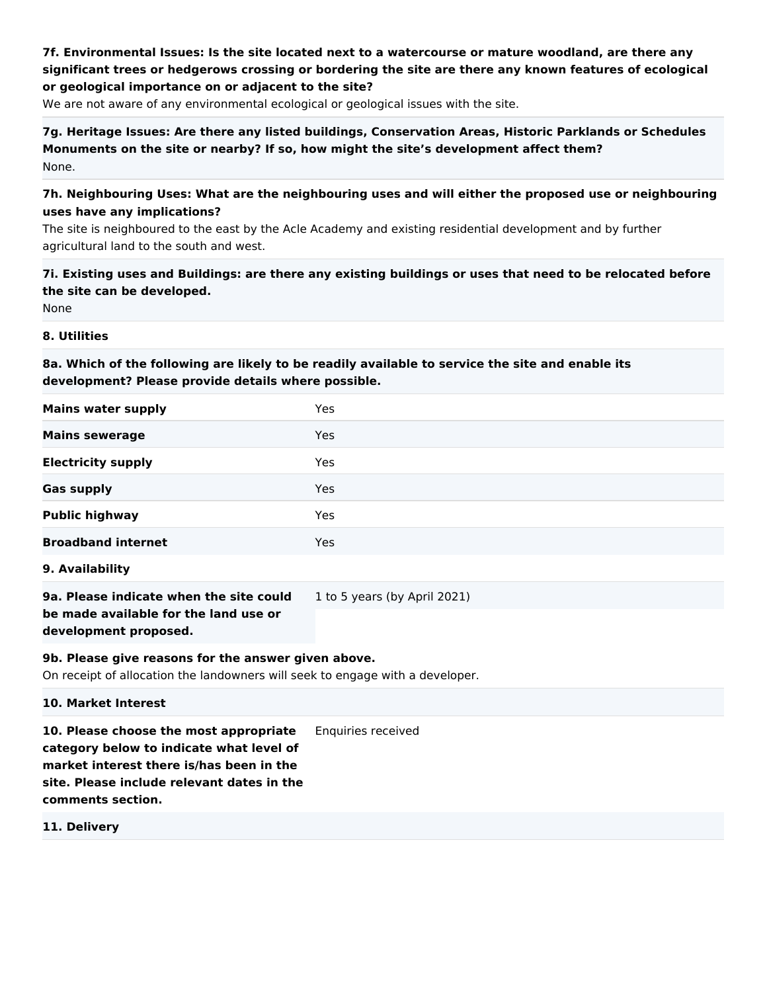# **7f. Environmental Issues: Is the site located next to a watercourse or mature woodland, are there any significant trees or hedgerows crossing or bordering the site are there any known features of ecological or geological importance on or adjacent to the site?**

We are not aware of any environmental ecological or geological issues with the site.

**7g. Heritage Issues: Are there any listed buildings, Conservation Areas, Historic Parklands or Schedules Monuments on the site or nearby? If so, how might the site's development affect them?** None.

## **7h. Neighbouring Uses: What are the neighbouring uses and will either the proposed use or neighbouring uses have any implications?**

The site is neighboured to the east by the Acle Academy and existing residential development and by further agricultural land to the south and west.

# **7i. Existing uses and Buildings: are there any existing buildings or uses that need to be relocated before the site can be developed.**

None

#### **8. Utilities**

# **8a. Which of the following are likely to be readily available to service the site and enable its development? Please provide details where possible.**

| <b>Mains water supply</b>                                                                                                            | Yes                          |
|--------------------------------------------------------------------------------------------------------------------------------------|------------------------------|
| <b>Mains sewerage</b>                                                                                                                | Yes                          |
| <b>Electricity supply</b>                                                                                                            | Yes                          |
| <b>Gas supply</b>                                                                                                                    | Yes                          |
| <b>Public highway</b>                                                                                                                | Yes                          |
| <b>Broadband internet</b>                                                                                                            | Yes                          |
| 9. Availability                                                                                                                      |                              |
| 9a. Please indicate when the site could<br>be made available for the land use or<br>development proposed.                            | 1 to 5 years (by April 2021) |
| 9b. Please give reasons for the answer given above.<br>On receipt of allocation the landowners will seek to engage with a developer. |                              |
| 10. Market Interest                                                                                                                  |                              |
| 10. Please choose the most appropriate<br>category below to indicate what level of<br>market interest there is/has been in the       | Enquiries received           |

**site. Please include relevant dates in the comments section.**

**11. Delivery**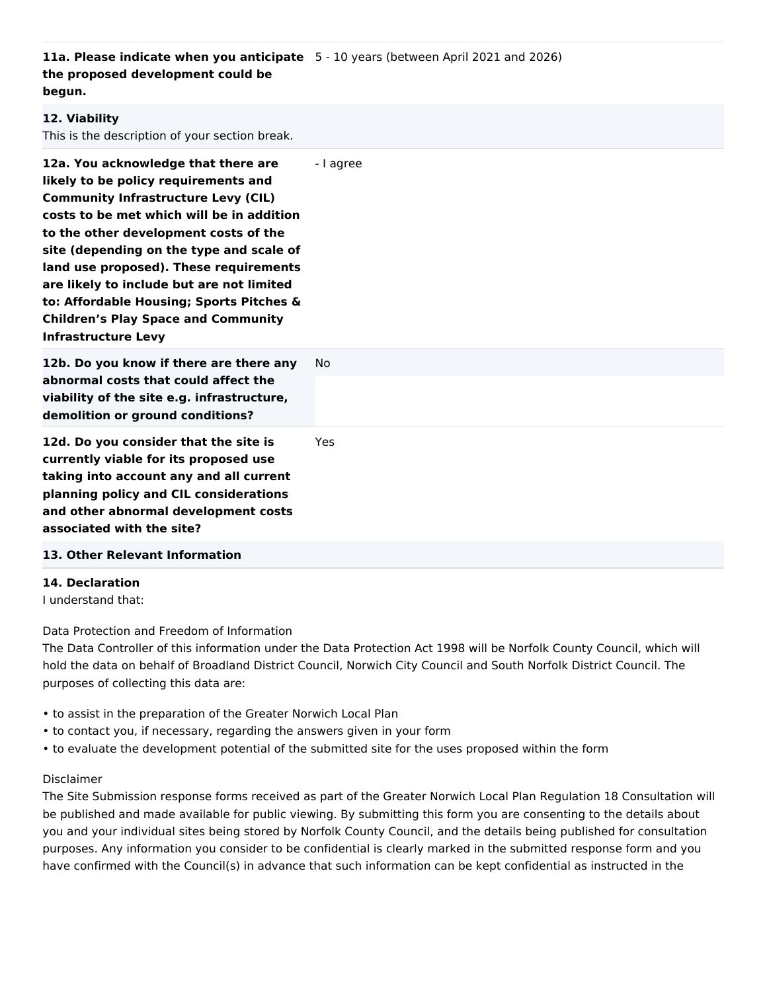**11a. Please indicate when you anticipate**  5 - 10 years (between April 2021 and 2026) **the proposed development could be begun.**

# **12. Viability** This is the description of your section break. **12a. You acknowledge that there are likely to be policy requirements and Community Infrastructure Levy (CIL) costs to be met which will be in addition to the other development costs of the site (depending on the type and scale of land use proposed). These requirements are likely to include but are not limited to: Affordable Housing; Sports Pitches & Children's Play Space and Community Infrastructure Levy** - I agree **12b. Do you know if there are there any abnormal costs that could affect the viability of the site e.g. infrastructure, demolition or ground conditions?** No **12d. Do you consider that the site is currently viable for its proposed use taking into account any and all current planning policy and CIL considerations and other abnormal development costs associated with the site?** Yes **13. Other Relevant Information**

#### **14. Declaration**

I understand that:

Data Protection and Freedom of Information

The Data Controller of this information under the Data Protection Act 1998 will be Norfolk County Council, which will hold the data on behalf of Broadland District Council, Norwich City Council and South Norfolk District Council. The purposes of collecting this data are:

- to assist in the preparation of the Greater Norwich Local Plan
- to contact you, if necessary, regarding the answers given in your form
- to evaluate the development potential of the submitted site for the uses proposed within the form

#### Disclaimer

The Site Submission response forms received as part of the Greater Norwich Local Plan Regulation 18 Consultation will be published and made available for public viewing. By submitting this form you are consenting to the details about you and your individual sites being stored by Norfolk County Council, and the details being published for consultation purposes. Any information you consider to be confidential is clearly marked in the submitted response form and you have confirmed with the Council(s) in advance that such information can be kept confidential as instructed in the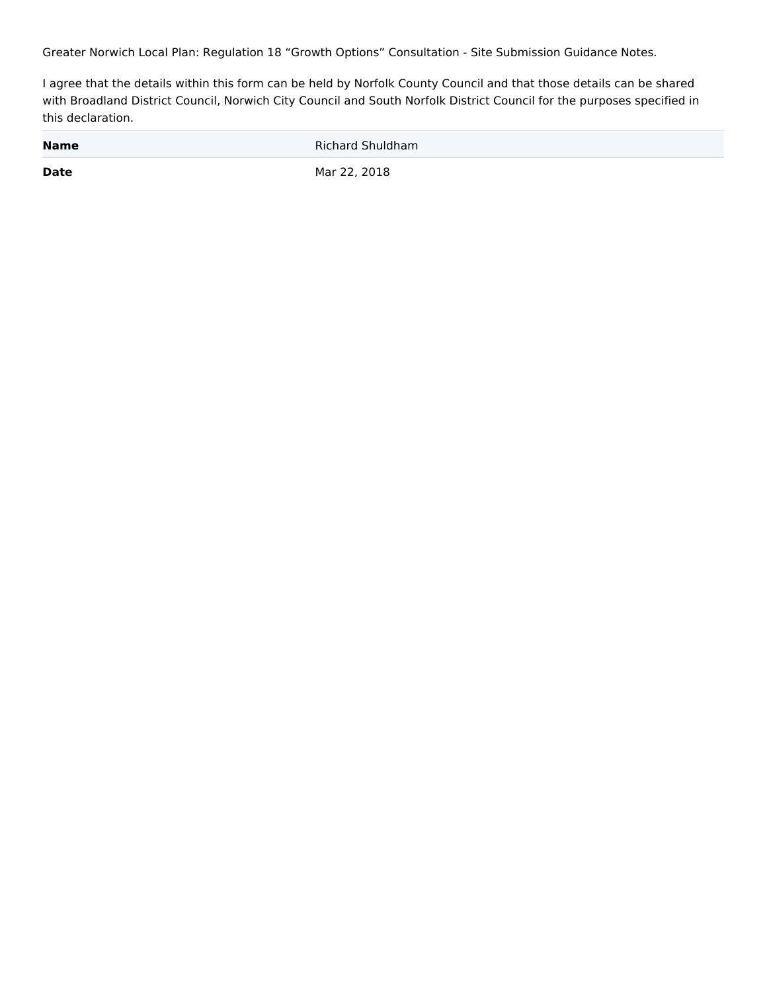Greater Norwich Local Plan: Regulation 18 "Growth Options" Consultation - Site Submission Guidance Notes.

I agree that the details within this form can be held by Norfolk County Council and that those details can be shared with Broadland District Council, Norwich City Council and South Norfolk District Council for the purposes specified in this declaration.

| <b>Name</b> | Richard Shuldham |
|-------------|------------------|
| <b>Date</b> | Mar 22, 2018     |